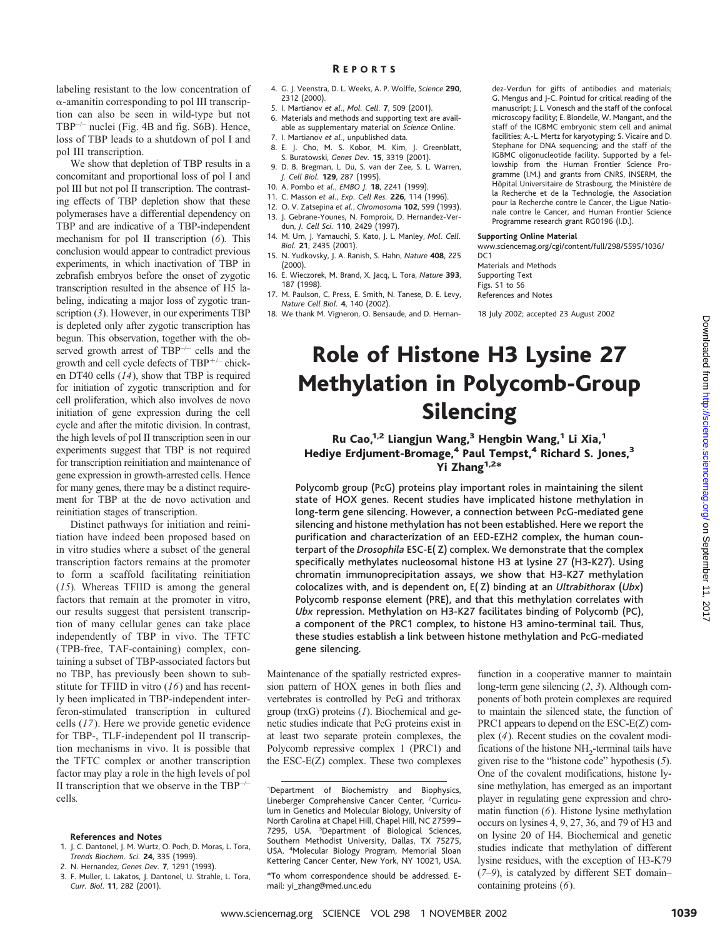labeling resistant to the low concentration of  $\alpha$ -amanitin corresponding to pol III transcription can also be seen in wild-type but not TBP–/– nuclei (Fig. 4B and fig. S6B). Hence, loss of TBP leads to a shutdown of pol I and pol III transcription.

We show that depletion of TBP results in a concomitant and proportional loss of pol I and pol III but not pol II transcription. The contrasting effects of TBP depletion show that these polymerases have a differential dependency on TBP and are indicative of a TBP-independent mechanism for pol II transcription (*6*)*.* This conclusion would appear to contradict previous experiments, in which inactivation of TBP in zebrafish embryos before the onset of zygotic transcription resulted in the absence of H5 labeling, indicating a major loss of zygotic transcription (*3*). However, in our experiments TBP is depleted only after zygotic transcription has begun. This observation, together with the observed growth arrest of TBP–/– cells and the growth and cell cycle defects of TBP-/– chicken DT40 cells (*14*), show that TBP is required for initiation of zygotic transcription and for cell proliferation, which also involves de novo initiation of gene expression during the cell cycle and after the mitotic division. In contrast, the high levels of pol II transcription seen in our experiments suggest that TBP is not required for transcription reinitiation and maintenance of gene expression in growth-arrested cells. Hence for many genes, there may be a distinct requirement for TBP at the de novo activation and reinitiation stages of transcription.

Distinct pathways for initiation and reinitiation have indeed been proposed based on in vitro studies where a subset of the general transcription factors remains at the promoter to form a scaffold facilitating reinitiation (*15*)*.* Whereas TFIID is among the general factors that remain at the promoter in vitro, our results suggest that persistent transcription of many cellular genes can take place independently of TBP in vivo. The TFTC (TPB-free, TAF-containing) complex, containing a subset of TBP-associated factors but no TBP, has previously been shown to substitute for TFIID in vitro (*16*) and has recently been implicated in TBP-independent interferon-stimulated transcription in cultured cells (*17*). Here we provide genetic evidence for TBP-, TLF-independent pol II transcription mechanisms in vivo. It is possible that the TFTC complex or another transcription factor may play a role in the high levels of pol II transcription that we observe in the  $TBP$ – cells*.*

#### **References and Notes**

- 1. J. C. Dantonel, J. M. Wurtz, O. Poch, D. Moras, L. Tora, *Trends Biochem. Sci.* **24**, 335 (1999).
- 2. N. Hernandez, *Genes Dev.* **7**, 1291 (1993).
- 3. F. Muller, L. Lakatos, J. Dantonel, U. Strahle, L. Tora, *Curr. Biol*. **11**, 282 (2001).

## R EPORTS

- 4. G. J. Veenstra, D. L. Weeks, A. P. Wolffe, *Science* **290**, 2312 (2000).
- 5. I. Martianov *et al.*, *Mol. Cell.* **7**, 509 (2001).
- 6. Materials and methods and supporting text are available as supplementary material on *Science* Online. 7. I. Martianov *et al.*, unpublished data.
- 
- 8. E. J. Cho, M. S. Kobor, M. Kim, J. Greenblatt, S. Buratowski, *Genes Dev.* **15**, 3319 (2001).
- 9. D. B. Bregman, L. Du, S. van der Zee, S. L. Warren, *J. Cell Biol.* **129**, 287 (1995).
- 10. A. Pombo *et al.*, *EMBO J.* **18**, 2241 (1999).
- 11. C. Masson *et al.*, *Exp. Cell Res.* **226**, 114 (1996).
- 12. O. V. Zatsepina *et al.*, *Chromosoma* **102**, 599 (1993). 13. J. Gebrane-Younes, N. Fomproix, D. Hernandez-Verdun, *J. Cell Sci.* **110**, 2429 (1997).
- 14. M. Um, J. Yamauchi, S. Kato, J. L. Manley, *Mol. Cell. Biol.* **21**, 2435 (2001).
- 15. N. Yudkovsky, J. A. Ranish, S. Hahn, *Nature* **408**, 225 (2000).
- 16. E. Wieczorek, M. Brand, X. Jacq, L. Tora, *Nature* **393**, 187 (1998).
- 17. M. Paulson, C. Press, E. Smith, N. Tanese, D. E. Levy, *Nature Cell Biol.* **4**, 140 (2002).
- 18. We thank M. Vigneron, O. Bensaude, and D. Hernan-

dez-Verdun for gifts of antibodies and materials; G. Mengus and J-C. Pointud for critical reading of the manuscript; J. L. Vonesch and the staff of the confocal microscopy facility; E. Blondelle, W. Mangant, and the staff of the IGBMC embryonic stem cell and animal facilities; A.-L. Mertz for karyotyping; S. Vicaire and D. Stephane for DNA sequencing; and the staff of the IGBMC oligonucleotide facility. Supported by a fellowship from the Human Frontier Science Programme (I.M.) and grants from CNRS, INSERM, the Hôpital Universitaire de Strasbourg, the Ministère de la Recherche et de la Technologie, the Association pour la Recherche contre le Cancer, the Ligue Nationale contre le Cancer, and Human Frontier Science Programme research grant RG0196 (I.D.).

## **Supporting Online Material**

www.sciencemag.org/cgi/content/full/298/5595/1036/ DC<sub>1</sub>

Materials and Methods Supporting Text Figs. S1 to S6 References and Notes

18 July 2002; accepted 23 August 2002

# Role of Histone H3 Lysine 27 Methylation in Polycomb-Group Silencing

# Ru Cao,<sup>1,2</sup> Liangjun Wang,<sup>3</sup> Hengbin Wang,<sup>1</sup> Li Xia,<sup>1</sup> Hediye Erdjument-Bromage,<sup>4</sup> Paul Tempst,<sup>4</sup> Richard S. Jones,<sup>3</sup> Yi Zhang $1,2*$

Polycomb group (PcG) proteins play important roles in maintaining the silent state of HOX genes. Recent studies have implicated histone methylation in long-term gene silencing. However, a connection between PcG-mediated gene silencing and histone methylation has not been established. Here we report the purification and characterization of an EED-EZH2 complex, the human counterpart of the *Drosophila* ESC-E( Z) complex. We demonstrate that the complex specifically methylates nucleosomal histone H3 at lysine 27 (H3-K27). Using chromatin immunoprecipitation assays, we show that H3-K27 methylation colocalizes with,and is dependent on,E( Z) binding at an *Ultrabithorax* (*Ubx*) Polycomb response element (PRE), and that this methylation correlates with *Ubx* repression. Methylation on H3-K27 facilitates binding of Polycomb (PC), a component of the PRC1 complex, to histone H3 amino-terminal tail. Thus, these studies establish a link between histone methylation and PcG-mediated gene silencing.

Maintenance of the spatially restricted expression pattern of HOX genes in both flies and vertebrates is controlled by PcG and trithorax group (trxG) proteins (*1*). Biochemical and genetic studies indicate that PcG proteins exist in at least two separate protein complexes, the Polycomb repressive complex 1 (PRC1) and the ESC-E(Z) complex. These two complexes

<sup>1</sup>Department of Biochemistry and Biophysics, Lineberger Comprehensive Cancer Center, <sup>2</sup>Curriculum in Genetics and Molecular Biology, University of North Carolina at Chapel Hill, Chapel Hill, NC 27599 – 7295, USA. <sup>3</sup> Department of Biological Sciences, Southern Methodist University, Dallas, TX 75275, USA. <sup>4</sup>Molecular Biology Program, Memorial Sloan Kettering Cancer Center, New York, NY 10021, USA.

function in a cooperative manner to maintain long-term gene silencing (*2*, *3*). Although components of both protein complexes are required to maintain the silenced state, the function of PRC1 appears to depend on the ESC-E(Z) complex (*4*). Recent studies on the covalent modifications of the histone  $NH<sub>2</sub>$ -terminal tails have given rise to the "histone code" hypothesis (*5*). One of the covalent modifications, histone lysine methylation, has emerged as an important player in regulating gene expression and chromatin function (*6*). Histone lysine methylation occurs on lysines 4, 9, 27, 36, and 79 of H3 and on lysine 20 of H4. Biochemical and genetic studies indicate that methylation of different lysine residues, with the exception of H3-K79 (*7*–*9*), is catalyzed by different SET domain– containing proteins (*6*).

<sup>\*</sup>To whom correspondence should be addressed. Email: yi\_zhang@med.unc.edu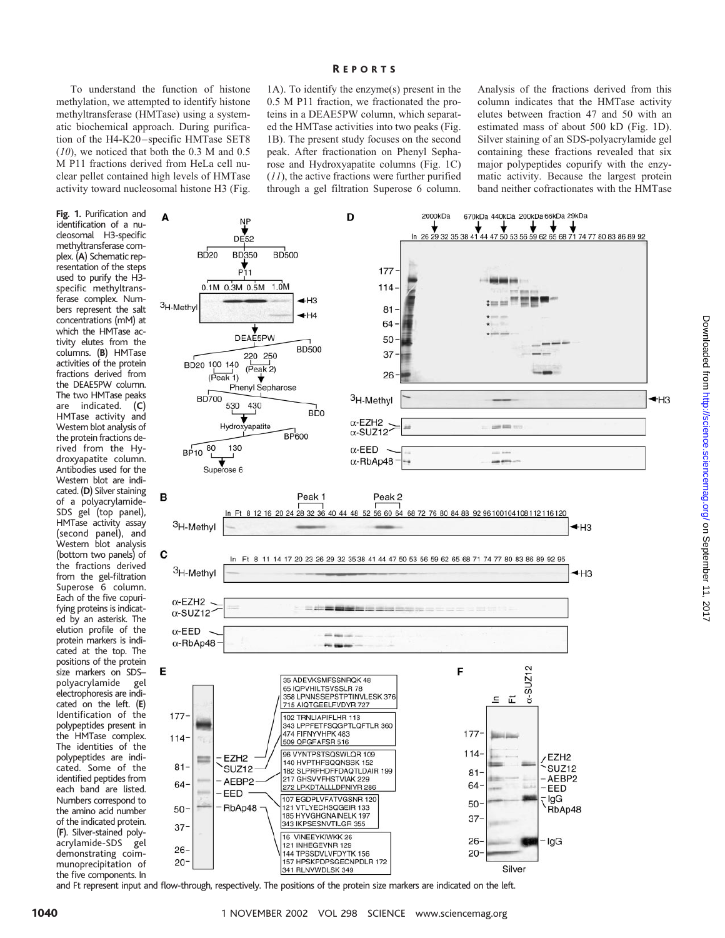To understand the function of histone methylation, we attempted to identify histone methyltransferase (HMTase) using a systematic biochemical approach. During purification of the H4-K20–specific HMTase SET8 (*10*), we noticed that both the 0.3 M and 0.5 M P11 fractions derived from HeLa cell nuclear pellet contained high levels of HMTase activity toward nucleosomal histone H3 (Fig.

**Fig.1.** Purification and identification of a nucleosomal H3-specific methyltransferase complex. (**A**) Schematic representation of the steps used to purify the H3 specific methyltransferase complex. Numbers represent the salt concentrations (mM) at which the HMTase activity elutes from the columns. (**B**) HMTase activities of the protein fractions derived from the DEAE5PW column. The two HMTase peaks are indicated. (**C**) HMTase activity and Western blot analysis of the protein fractions derived from the Hydroxyapatite column. Antibodies used for the Western blot are indicated. (**D**) Silver staining of a polyacrylamide-SDS gel (top panel), HMTase activity assay (second panel), and Western blot analysis (bottom two panels) of the fractions derived from the gel-filtration Superose 6 column. Each of the five copurifying proteins is indicated by an asterisk. The elution profile of the protein markers is indicated at the top. The positions of the protein size markers on SDS– polyacrylamide gel electrophoresis are indicated on the left. (**E**) Identification of the polypeptides present in the HMTase complex. The identities of the polypeptides are indicated. Some of the identified peptides from each band are listed. Numbers correspond to the amino acid number of the indicated protein. (**F**). Silver-stained polyacrylamide-SDS gel demonstrating coimmunoprecipitation of the five components. In

## R EPORTS

1A). To identify the enzyme(s) present in the 0.5 M P11 fraction, we fractionated the proteins in a DEAE5PW column, which separated the HMTase activities into two peaks (Fig. 1B). The present study focuses on the second peak. After fractionation on Phenyl Sepharose and Hydroxyapatite columns (Fig. 1C) (*11*), the active fractions were further purified through a gel filtration Superose 6 column. Analysis of the fractions derived from this column indicates that the HMTase activity elutes between fraction 47 and 50 with an estimated mass of about 500 kD (Fig. 1D). Silver staining of an SDS-polyacrylamide gel containing these fractions revealed that six major polypeptides copurify with the enzymatic activity. Because the largest protein band neither cofractionates with the HMTase



and Ft represent input and flow-through, respectively. The positions of the protein size markers are indicated on the left.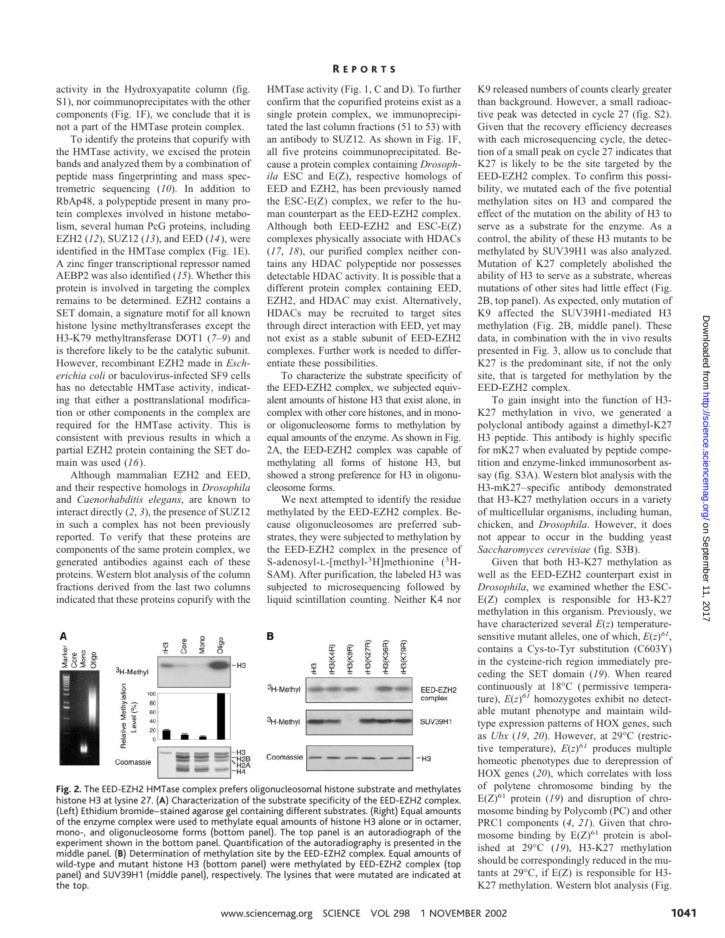To identify the proteins that copurify with the HMTase activity, we excised the protein bands and analyzed them by a combination of peptide mass fingerprinting and mass spectrometric sequencing (*10*). In addition to RbAp48, a polypeptide present in many protein complexes involved in histone metabolism, several human PcG proteins, including EZH2 (*12*), SUZ12 (*13*), and EED (*14*), were identified in the HMTase complex (Fig. 1E). A zinc finger transcriptional repressor named AEBP2 was also identified (*15*). Whether this protein is involved in targeting the complex remains to be determined. EZH2 contains a SET domain, a signature motif for all known histone lysine methyltransferases except the H3-K79 methyltransferase DOT1 (*7*–*9*) and is therefore likely to be the catalytic subunit. However, recombinant EZH2 made in *Escherichia coli* or baculovirus-infected SF9 cells has no detectable HMTase activity, indicating that either a posttranslational modification or other components in the complex are required for the HMTase activity. This is consistent with previous results in which a partial EZH2 protein containing the SET domain was used (*16*).

Although mammalian EZH2 and EED, and their respective homologs in *Drosophila* and *Caenorhabditis elegans*, are known to interact directly (*2*, *3*), the presence of SUZ12 in such a complex has not been previously reported. To verify that these proteins are components of the same protein complex, we generated antibodies against each of these proteins. Western blot analysis of the column fractions derived from the last two columns indicated that these proteins copurify with the

## R EPORTS

HMTase activity (Fig. 1, C and D). To further confirm that the copurified proteins exist as a single protein complex, we immunoprecipitated the last column fractions (51 to 53) with an antibody to SUZ12. As shown in Fig. 1F, all five proteins coimmunoprecipitated. Because a protein complex containing *Drosophila* ESC and E(Z), respective homologs of EED and EZH2, has been previously named the ESC-E(Z) complex, we refer to the human counterpart as the EED-EZH2 complex. Although both EED-EZH2 and ESC-E(Z) complexes physically associate with HDACs (*17*, *18*), our purified complex neither contains any HDAC polypeptide nor possesses detectable HDAC activity. It is possible that a different protein complex containing EED, EZH2, and HDAC may exist. Alternatively, HDACs may be recruited to target sites through direct interaction with EED, yet may not exist as a stable subunit of EED-EZH2 complexes. Further work is needed to differentiate these possibilities.

To characterize the substrate specificity of the EED-EZH2 complex, we subjected equivalent amounts of histone H3 that exist alone, in complex with other core histones, and in monoor oligonucleosome forms to methylation by equal amounts of the enzyme. As shown in Fig. 2A, the EED-EZH2 complex was capable of methylating all forms of histone H3, but showed a strong preference for H3 in oligonucleosome forms.

We next attempted to identify the residue methylated by the EED-EZH2 complex. Because oligonucleosomes are preferred substrates, they were subjected to methylation by the EED-EZH2 complex in the presence of S-adenosyl-L-[methyl-<sup>3</sup>H]methionine (<sup>3</sup>H-SAM). After purification, the labeled H3 was subjected to microsequencing followed by liquid scintillation counting. Neither K4 nor



**Fig.2.** The EED-EZH2 HMTase complex prefers oligonucleosomal histone substrate and methylates histone H3 at lysine 27. (**A**) Characterization of the substrate specificity of the EED-EZH2 complex. (Left) Ethidium bromide–stained agarose gel containing different substrates. (Right) Equal amounts of the enzyme complex were used to methylate equal amounts of histone H3 alone or in octamer, mono-, and oligonucleosome forms (bottom panel). The top panel is an autoradiograph of the experiment shown in the bottom panel. Quantification of the autoradiography is presented in the middle panel. (**B**) Determination of methylation site by the EED-EZH2 complex. Equal amounts of wild-type and mutant histone H3 (bottom panel) were methylated by EED-EZH2 complex (top panel) and SUV39H1 (middle panel), respectively. The lysines that were mutated are indicated at the top.

K9 released numbers of counts clearly greater than background. However, a small radioactive peak was detected in cycle 27 (fig. S2). Given that the recovery efficiency decreases with each microsequencing cycle, the detection of a small peak on cycle 27 indicates that K27 is likely to be the site targeted by the EED-EZH2 complex. To confirm this possibility, we mutated each of the five potential methylation sites on H3 and compared the effect of the mutation on the ability of H3 to serve as a substrate for the enzyme. As a control, the ability of these H3 mutants to be methylated by SUV39H1 was also analyzed. Mutation of K27 completely abolished the ability of H3 to serve as a substrate, whereas mutations of other sites had little effect (Fig. 2B, top panel). As expected, only mutation of K9 affected the SUV39H1-mediated H3 methylation (Fig. 2B, middle panel). These data, in combination with the in vivo results presented in Fig. 3, allow us to conclude that K27 is the predominant site, if not the only site, that is targeted for methylation by the EED-EZH2 complex.

To gain insight into the function of H3- K27 methylation in vivo, we generated a polyclonal antibody against a dimethyl-K27 H3 peptide. This antibody is highly specific for mK27 when evaluated by peptide competition and enzyme-linked immunosorbent assay (fig. S3A). Western blot analysis with the H3-mK27–specific antibody demonstrated that H3-K27 methylation occurs in a variety of multicellular organisms, including human, chicken, and *Drosophila*. However, it does not appear to occur in the budding yeast *Saccharomyces cerevisiae* (fig. S3B).

Given that both H3-K27 methylation as well as the EED-EZH2 counterpart exist in *Drosophila*, we examined whether the ESC-E(Z) complex is responsible for H3-K27 methylation in this organism. Previously, we have characterized several *E*(*z*) temperaturesensitive mutant alleles, one of which,  $E(z)^{61}$ , contains a Cys-to-Tyr substitution (C603Y) in the cysteine-rich region immediately preceding the SET domain (*19*). When reared continuously at 18°C (permissive temperature),  $E(z)^{61}$  homozygotes exhibit no detectable mutant phenotype and maintain wildtype expression patterns of HOX genes, such as *Ubx* (*19*, *20*). However, at 29°C (restrictive temperature),  $E(z)^{61}$  produces multiple homeotic phenotypes due to derepression of HOX genes (*20*), which correlates with loss of polytene chromosome binding by the  $E(Z)^{61}$  protein (19) and disruption of chromosome binding by Polycomb (PC) and other PRC1 components (*4*, *21*). Given that chromosome binding by  $E(Z)^{61}$  protein is abolished at 29°C (*19*), H3-K27 methylation should be correspondingly reduced in the mutants at 29°C, if E(Z) is responsible for H3- K27 methylation. Western blot analysis (Fig.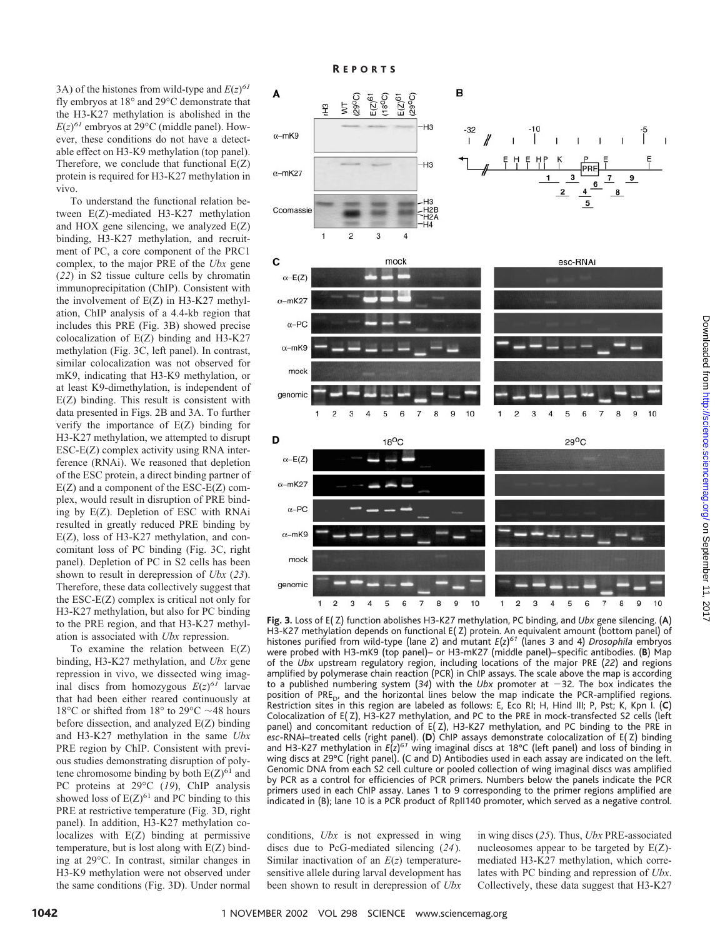3A) of the histones from wild-type and  $E(z)^{61}$ fly embryos at 18° and 29°C demonstrate that the H3-K27 methylation is abolished in the  $E(z)^{61}$  embryos at 29 $^{\circ}$ C (middle panel). However, these conditions do not have a detectable effect on H3-K9 methylation (top panel). Therefore, we conclude that functional E(Z) protein is required for H3-K27 methylation in vivo.

To understand the functional relation between E(Z)-mediated H3-K27 methylation and HOX gene silencing, we analyzed E(Z) binding, H3-K27 methylation, and recruitment of PC, a core component of the PRC1 complex, to the major PRE of the *Ubx* gene (*22*) in S2 tissue culture cells by chromatin immunoprecipitation (ChIP). Consistent with the involvement of E(Z) in H3-K27 methylation, ChIP analysis of a 4.4-kb region that includes this PRE (Fig. 3B) showed precise colocalization of E(Z) binding and H3-K27 methylation (Fig. 3C, left panel). In contrast, similar colocalization was not observed for mK9, indicating that H3-K9 methylation, or at least K9-dimethylation, is independent of E(Z) binding. This result is consistent with data presented in Figs. 2B and 3A. To further verify the importance of E(Z) binding for H3-K27 methylation, we attempted to disrupt ESC-E(Z) complex activity using RNA interference (RNAi). We reasoned that depletion of the ESC protein, a direct binding partner of  $E(Z)$  and a component of the  $ESC-E(Z)$  complex, would result in disruption of PRE binding by E(Z). Depletion of ESC with RNAi resulted in greatly reduced PRE binding by E(Z), loss of H3-K27 methylation, and concomitant loss of PC binding (Fig. 3C, right panel). Depletion of PC in S2 cells has been shown to result in derepression of *Ubx* (*23*). Therefore, these data collectively suggest that the ESC-E(Z) complex is critical not only for H3-K27 methylation, but also for PC binding to the PRE region, and that H3-K27 methylation is associated with *Ubx* repression.

To examine the relation between E(Z) binding, H3-K27 methylation, and *Ubx* gene repression in vivo, we dissected wing imaginal discs from homozygous  $E(z)^{61}$  larvae that had been either reared continuously at 18°C or shifted from 18° to 29°C  $\sim$  48 hours before dissection, and analyzed E(Z) binding and H3-K27 methylation in the same *Ubx* PRE region by ChIP. Consistent with previous studies demonstrating disruption of polytene chromosome binding by both  $E(Z)^{61}$  and PC proteins at 29°C (*19*), ChIP analysis showed loss of  $E(Z)^{61}$  and PC binding to this PRE at restrictive temperature (Fig. 3D, right panel). In addition, H3-K27 methylation colocalizes with E(Z) binding at permissive temperature, but is lost along with E(Z) binding at 29°C. In contrast, similar changes in H3-K9 methylation were not observed under the same conditions (Fig. 3D). Under normal



**Fig.3.** Loss of E( Z) function abolishes H3-K27 methylation, PC binding, and *Ubx* gene silencing. (**A**) H3-K27 methylation depends on functional E( Z) protein. An equivalent amount (bottom panel) of histones purified from wild-type (lane 2) and mutant *E*(*z*) *<sup>61</sup>* (lanes 3 and 4) *Drosophila* embryos were probed with H3-mK9 (top panel)– or H3-mK27 (middle panel)–specific antibodies. (**B**) Map of the *Ubx* upstream regulatory region, including locations of the major PRE (*22*) and regions amplified by polymerase chain reaction (PCR) in ChIP assays. The scale above the map is according to a published numbering system  $(34)$  with the *Ubx* promoter at  $-32$ . The box indicates the position of PRE<sub>D</sub>, and the horizontal lines below the map indicate the PCR-amplified regions. Restriction sites in this region are labeled as follows: E, Eco RI; H, Hind III; P, Pst; K, Kpn I. (**C**) Colocalization of E( Z), H3-K27 methylation, and PC to the PRE in mock-transfected S2 cells (left panel) and concomitant reduction of  $E(Z)$ , H3-K27 methylation, and PC binding to the PRE in *esc*-RNAi–treated cells (right panel). (**D**) ChIP assays demonstrate colocalization of E( Z) binding and H3-K27 methylation in *E*(*z*) *<sup>61</sup>* wing imaginal discs at 18°C (left panel) and loss of binding in wing discs at 29°C (right panel). (C and D) Antibodies used in each assay are indicated on the left. Genomic DNA from each S2 cell culture or pooled collection of wing imaginal discs was amplified by PCR as a control for efficiencies of PCR primers. Numbers below the panels indicate the PCR primers used in each ChIP assay. Lanes 1 to 9 corresponding to the primer regions amplified are indicated in (B); lane 10 is a PCR product of RpII140 promoter, which served as a negative control.

conditions, *Ubx* is not expressed in wing discs due to PcG-mediated silencing (*24*). Similar inactivation of an *E*(*z*) temperaturesensitive allele during larval development has been shown to result in derepression of *Ubx*

in wing discs (*25*). Thus, *Ubx* PRE-associated nucleosomes appear to be targeted by E(Z) mediated H3-K27 methylation, which correlates with PC binding and repression of *Ubx*. Collectively, these data suggest that H3-K27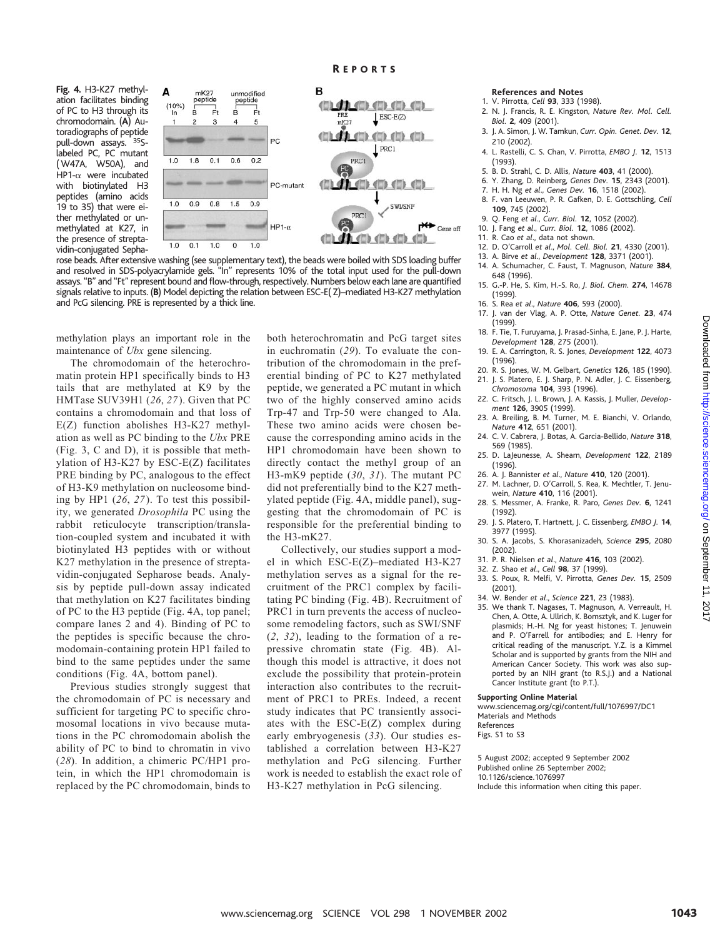**Fig.4.** H3-K27 methylation facilitates binding of PC to H3 through its chromodomain. (**A**) Autoradiographs of peptide pull-down assays. <sup>35</sup>Slabeled PC, PC mutant (W47A, W50A), and HP1- $\alpha$  were incubated with biotinylated H3 peptides (amino acids 19 to 35) that were either methylated or unmethylated at K27, in the presence of streptavidin-conjugated Sepha-



rose beads. After extensive washing (see supplementary text), the beads were boiled with SDS loading buffer and resolved in SDS-polyacrylamide gels. "In" represents 10% of the total input used for the pull-down assays. "B" and "Ft" represent bound and flow-through, respectively. Numbers below each lane are quantified signals relative to inputs. (**B**) Model depicting the relation between ESC-E( Z)–mediated H3-K27 methylation and PcG silencing. PRE is represented by a thick line.

methylation plays an important role in the maintenance of *Ubx* gene silencing.

The chromodomain of the heterochromatin protein HP1 specifically binds to H3 tails that are methylated at K9 by the HMTase SUV39H1 (*26*, *27*). Given that PC contains a chromodomain and that loss of E(Z) function abolishes H3-K27 methylation as well as PC binding to the *Ubx* PRE (Fig. 3, C and D), it is possible that methylation of H3-K27 by ESC-E(Z) facilitates PRE binding by PC, analogous to the effect of H3-K9 methylation on nucleosome binding by HP1 (*26*, *27*). To test this possibility, we generated *Drosophila* PC using the rabbit reticulocyte transcription/translation-coupled system and incubated it with biotinylated H3 peptides with or without K27 methylation in the presence of streptavidin-conjugated Sepharose beads. Analysis by peptide pull-down assay indicated that methylation on K27 facilitates binding of PC to the H3 peptide (Fig. 4A, top panel; compare lanes 2 and 4). Binding of PC to the peptides is specific because the chromodomain-containing protein HP1 failed to bind to the same peptides under the same conditions (Fig. 4A, bottom panel).

Previous studies strongly suggest that the chromodomain of PC is necessary and sufficient for targeting PC to specific chromosomal locations in vivo because mutations in the PC chromodomain abolish the ability of PC to bind to chromatin in vivo (*28*). In addition, a chimeric PC/HP1 protein, in which the HP1 chromodomain is replaced by the PC chromodomain, binds to

both heterochromatin and PcG target sites in euchromatin (*29*). To evaluate the contribution of the chromodomain in the preferential binding of PC to K27 methylated peptide, we generated a PC mutant in which two of the highly conserved amino acids Trp-47 and Trp-50 were changed to Ala. These two amino acids were chosen because the corresponding amino acids in the HP1 chromodomain have been shown to directly contact the methyl group of an H3-mK9 peptide (*30*, *31*). The mutant PC did not preferentially bind to the K27 methylated peptide (Fig. 4A, middle panel), suggesting that the chromodomain of PC is responsible for the preferential binding to the H3-mK27.

Collectively, our studies support a model in which ESC-E(Z)–mediated H3-K27 methylation serves as a signal for the recruitment of the PRC1 complex by facilitating PC binding (Fig. 4B). Recruitment of PRC1 in turn prevents the access of nucleosome remodeling factors, such as SWI/SNF (*2*, *32*), leading to the formation of a repressive chromatin state (Fig. 4B). Although this model is attractive, it does not exclude the possibility that protein-protein interaction also contributes to the recruitment of PRC1 to PREs. Indeed, a recent study indicates that PC transiently associates with the ESC-E(Z) complex during early embryogenesis (*33*). Our studies established a correlation between H3-K27 methylation and PcG silencing. Further work is needed to establish the exact role of H3-K27 methylation in PcG silencing.

## **References and Notes**

- 1. V. Pirrotta, *Cell* **93**, 333 (1998).
- 2. N. J. Francis, R. E. Kingston, *Nature Rev. Mol. Cell. Biol.* **2**, 409 (2001).
- 3. J. A. Simon, J. W. Tamkun, *Curr. Opin. Genet. Dev.* **12**, 210 (2002).
- 4. L. Rastelli, C. S. Chan, V. Pirrotta, *EMBO J.* **12**, 1513 (1993).
- 5. B. D. Strahl, C. D. Allis, *Nature* **403**, 41 (2000).
- 6. Y. Zhang, D. Reinberg, *Genes Dev.* **15**, 2343 (2001).
- 7. H. H. Ng et al., *Genes Dev.* **16**, 1518 (2002).<br>8. F. van Leeuwen. P. R. Gafken. D. E. Gottschli
- 8. F. van Leeuwen, P. R. Gafken, D. E. Gottschling, *Cell* **109**, 745 (2002).
- 9. Q. Feng *et al*., *Curr. Biol.* **12**, 1052 (2002).
- 10. J. Fang *et al*., *Curr. Biol.* **12**, 1086 (2002).
- 11. R. Cao *et al*., data not shown.
- 12. D. O'Carroll *et al*., *Mol. Cell. Biol.* **21**, 4330 (2001).
- 13. A. Birve *et al*., *Development* **128**, 3371 (2001).
- 14. A. Schumacher, C. Faust, T. Magnuson, *Nature* **384**, 648 (1996).
- 15. G.-P. He, S. Kim, H.-S. Ro, *J. Biol. Chem.* **274**, 14678 (1999).
- 16. S. Rea *et al*., *Nature* **406**, 593 (2000).
- 17. J. van der Vlag, A. P. Otte, *Nature Genet.* **23**, 474 (1999).
- 18. F. Tie, T. Furuyama, J. Prasad-Sinha, E. Jane, P. J. Harte, *Development* **128**, 275 (2001).
- 19. E. A. Carrington, R. S. Jones, *Development* **122**, 4073 (1996).
- 20. R. S. Jones, W. M. Gelbart, *Genetics* **126**, 185 (1990). 21. J. S. Platero, E. J. Sharp, P. N. Adler, J. C. Eissenberg,
- *Chromosoma* **104**, 393 (1996). 22. C. Fritsch, J. L. Brown, J. A. Kassis, J. Muller, *Develop-*
- *ment* **126**, 3905 (1999).
- 23. A. Breiling, B. M. Turner, M. E. Bianchi, V. Orlando, *Nature* **412**, 651 (2001).
- 24. C. V. Cabrera, J. Botas, A. Garcia-Bellido, *Nature* **318**, 569 (1985).
- 25. D. LaJeunesse, A. Shearn, *Development* **122**, 2189 (1996).
- 26. A. J. Bannister *et al*., *Nature* **410**, 120 (2001).
- 27. M. Lachner, D. O'Carroll, S. Rea, K. Mechtler, T. Jenuwein, *Nature* **410**, 116 (2001).
- 28. S. Messmer, A. Franke, R. Paro, *Genes Dev.* **6**, 1241 (1992).
- 29. J. S. Platero, T. Hartnett, J. C. Eissenberg, *EMBO J.* **14**, 3977 (1995).
- 30. S. A. Jacobs, S. Khorasanizadeh, *Science* **295**, 2080 (2002).
- 31. P. R. Nielsen *et al*., *Nature* **416**, 103 (2002).
- 32. Z. Shao *et al*., *Cell* **98**, 37 (1999).
- 33. S. Poux, R. Melfi, V. Pirrotta, *Genes Dev.* **15**, 2509 (2001).
- 34. W. Bender *et al*., *Science* **221**, 23 (1983).
- 35. We thank T. Nagases, T. Magnuson, A. Verreault, H. Chen, A. Otte, A. Ullrich, K. Bomsztyk, and K. Luger for plasmids; H.-H. Ng for yeast histones; T. Jenuwein and P. O'Farrell for antibodies; and E. Henry for critical reading of the manuscript. Y.Z. is a Kimmel Scholar and is supported by grants from the NIH and American Cancer Society. This work was also supported by an NIH grant (to R.S.J.) and a National Cancer Institute grant (to P.T.).

#### **Supporting Online Material**

www.sciencemag.org/cgi/content/full/1076997/DC1 Materials and Methods References

Figs. S1 to S3

5 August 2002; accepted 9 September 2002 Published online 26 September 2002; 10.1126/science.1076997 Include this information when citing this paper.